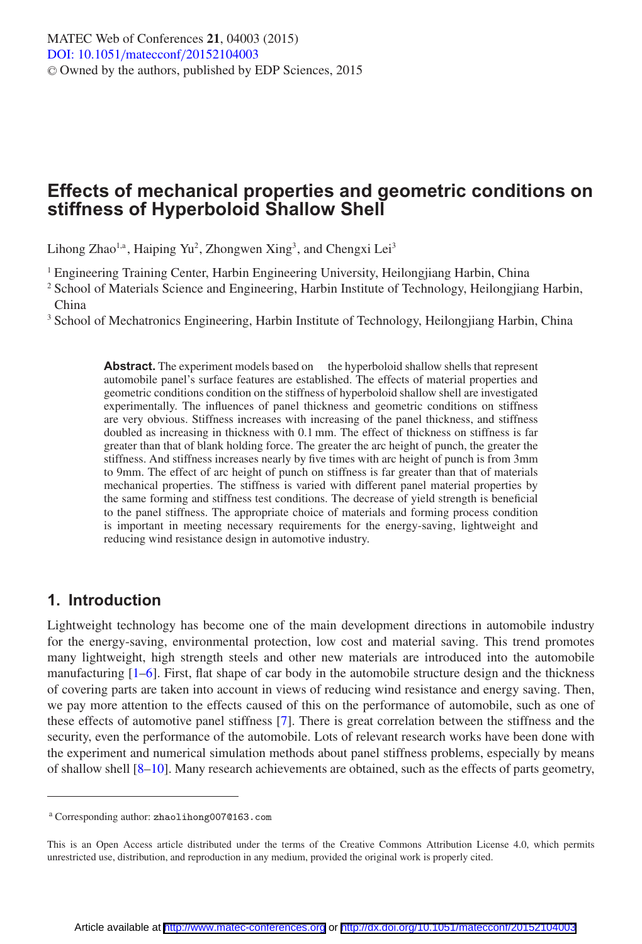## **Effects of mechanical properties and geometric conditions on stiffness of Hyperboloid Shallow Shell**

Lihong Zhao<sup>1,a</sup>, Haiping Yu<sup>2</sup>, Zhongwen Xing<sup>3</sup>, and Chengxi Lei<sup>3</sup>

<sup>1</sup> Engineering Training Center, Harbin Engineering University, Heilongjiang Harbin, China

<sup>2</sup> School of Materials Science and Engineering, Harbin Institute of Technology, Heilongjiang Harbin, China

<sup>3</sup> School of Mechatronics Engineering, Harbin Institute of Technology, Heilongjiang Harbin, China

**Abstract.** The experiment models based on the hyperboloid shallow shells that represent automobile panel's surface features are established. The effects of material properties and geometric conditions condition on the stiffness of hyperboloid shallow shell are investigated experimentally. The influences of panel thickness and geometric conditions on stiffness are very obvious. Stiffness increases with increasing of the panel thickness, and stiffness doubled as increasing in thickness with 0.1 mm. The effect of thickness on stiffness is far greater than that of blank holding force. The greater the arc height of punch, the greater the stiffness. And stiffness increases nearly by five times with arc height of punch is from 3mm to 9mm. The effect of arc height of punch on stiffness is far greater than that of materials mechanical properties. The stiffness is varied with different panel material properties by the same forming and stiffness test conditions. The decrease of yield strength is beneficial to the panel stiffness. The appropriate choice of materials and forming process condition is important in meeting necessary requirements for the energy-saving, lightweight and reducing wind resistance design in automotive industry.

### **1. Introduction**

Lightweight technology has become one of the main development directions in automobile industry for the energy-saving, environmental protection, low cost and material saving. This trend promotes many lightweight, high strength steels and other new materials are introduced into the automobile manufacturing [\[1](#page-5-0)[–6\]](#page-5-1). First, flat shape of car body in the automobile structure design and the thickness of covering parts are taken into account in views of reducing wind resistance and energy saving. Then, we pay more attention to the effects caused of this on the performance of automobile, such as one of these effects of automotive panel stiffness [\[7\]](#page-5-2). There is great correlation between the stiffness and the security, even the performance of the automobile. Lots of relevant research works have been done with the experiment and numerical simulation methods about panel stiffness problems, especially by means of shallow shell [\[8](#page-5-3)[–10](#page-5-4)]. Many research achievements are obtained, such as the effects of parts geometry,

<sup>a</sup> Corresponding author: zhaolihong007@163.com

This is an Open Access article distributed under the terms of the Creative Commons Attribution License 4.0, which permits unrestricted use, distribution, and reproduction in any medium, provided the original work is properly cited.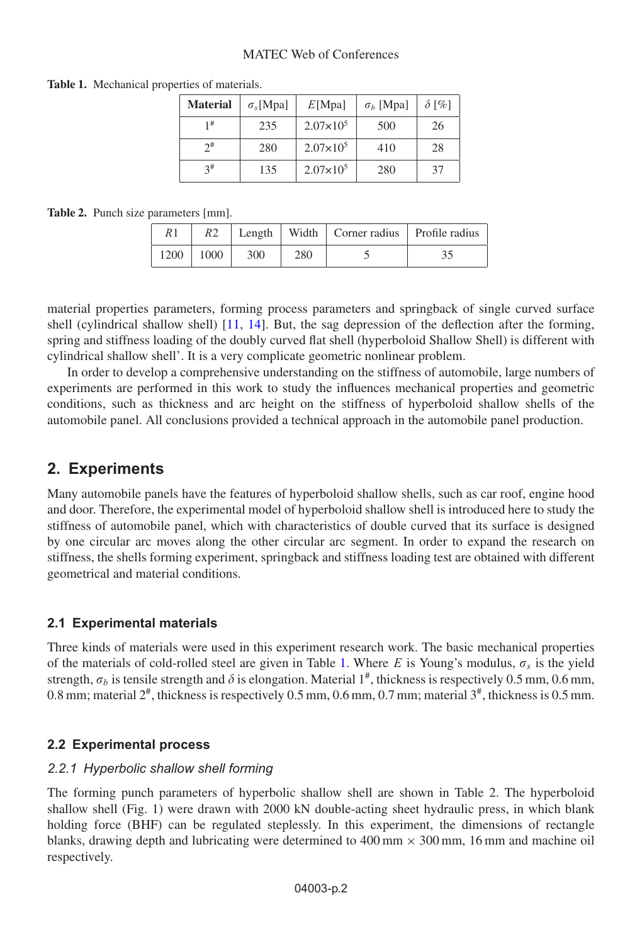#### MATEC Web of Conferences

| <b>Material</b> | $\sigma_{s}$ [Mpa] | E[Mpa]             | $\sigma_b$ [Mpa] | $\delta$ [%] |
|-----------------|--------------------|--------------------|------------------|--------------|
| 1#              | 235                | $2.07 \times 10^5$ | 500              | 26           |
| $2^{\#}$        | 280                | $2.07\times10^{5}$ | 410              | 28           |
| $3^{\#}$        | 135                | $2.07 \times 10^5$ | 280              | 37           |

<span id="page-1-0"></span>**Table 1.** Mechanical properties of materials.

**Table 2.** Punch size parameters [mm].

| R1   | R2   |     |     | Length   Width   Corner radius   Profile radius |  |
|------|------|-----|-----|-------------------------------------------------|--|
| 1200 | 1000 | 300 | 280 |                                                 |  |

material properties parameters, forming process parameters and springback of single curved surface shell (cylindrical shallow shell) [\[11](#page-5-5), [14](#page-5-6)]. But, the sag depression of the deflection after the forming, spring and stiffness loading of the doubly curved flat shell (hyperboloid Shallow Shell) is different with cylindrical shallow shell'. It is a very complicate geometric nonlinear problem.

In order to develop a comprehensive understanding on the stiffness of automobile, large numbers of experiments are performed in this work to study the influences mechanical properties and geometric conditions, such as thickness and arc height on the stiffness of hyperboloid shallow shells of the automobile panel. All conclusions provided a technical approach in the automobile panel production.

### **2. Experiments**

Many automobile panels have the features of hyperboloid shallow shells, such as car roof, engine hood and door. Therefore, the experimental model of hyperboloid shallow shell is introduced here to study the stiffness of automobile panel, which with characteristics of double curved that its surface is designed by one circular arc moves along the other circular arc segment. In order to expand the research on stiffness, the shells forming experiment, springback and stiffness loading test are obtained with different geometrical and material conditions.

#### **2.1 Experimental materials**

Three kinds of materials were used in this experiment research work. The basic mechanical properties of the materials of cold-rolled steel are given in Table [1.](#page-1-0) Where E is Young's modulus,  $\sigma_s$  is the yield strength,  $\sigma_b$  is tensile strength and  $\delta$  is elongation. Material 1<sup>#</sup>, thickness is respectively 0.5 mm, 0.6 mm, 0.8 mm; material  $2^{\#}$ , thickness is respectively 0.5 mm, 0.6 mm, 0.7 mm; material  $3^{\#}$ , thickness is 0.5 mm.

#### **2.2 Experimental process**

## *2.2.1 Hyperbolic shallow shell forming*

The forming punch parameters of hyperbolic shallow shell are shown in Table 2. The hyperboloid shallow shell (Fig. 1) were drawn with 2000 kN double-acting sheet hydraulic press, in which blank holding force (BHF) can be regulated steplessly. In this experiment, the dimensions of rectangle blanks, drawing depth and lubricating were determined to  $400 \text{ mm} \times 300 \text{ mm}$ , 16 mm and machine oil respectively.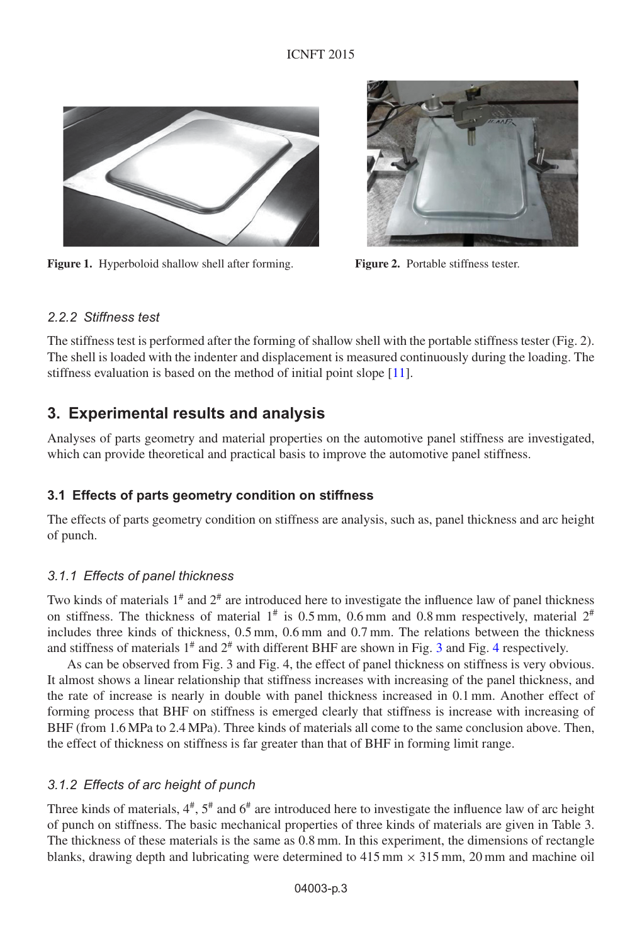#### ICNFT 2015



**Figure 1.** Hyperboloid shallow shell after forming. **Figure 2.** Portable stiffness tester.



#### 222 Stiffness test

The stiffness test is performed after the forming of shallow shell with the portable stiffness tester (Fig. 2). The shell is loaded with the indenter and displacement is measured continuously during the loading. The stiffness evaluation is based on the method of initial point slope [\[11\]](#page-5-5).

### **3. Experimental results and analysis**

Analyses of parts geometry and material properties on the automotive panel stiffness are investigated, which can provide theoretical and practical basis to improve the automotive panel stiffness.

#### **3.1 Effects of parts geometry condition on stiffness**

The effects of parts geometry condition on stiffness are analysis, such as, panel thickness and arc height of punch.

# *3.1.1 Effects of panel thickness*

Two kinds of materials  $1^*$  and  $2^*$  are introduced here to investigate the influence law of panel thickness on stiffness. The thickness of material  $1^{\#}$  is 0.5 mm, 0.6 mm and 0.8 mm respectively, material  $2^{\#}$ includes three kinds of thickness, 0.5 mm, 0.6 mm and 0.7 mm. The relations between the thickness and stiffness of materials  $1^{\#}$  and  $2^{\#}$  with different BHF are shown in Fig. [3](#page-3-0) and Fig. [4](#page-3-1) respectively.

As can be observed from Fig. 3 and Fig. 4, the effect of panel thickness on stiffness is very obvious. It almost shows a linear relationship that stiffness increases with increasing of the panel thickness, and the rate of increase is nearly in double with panel thickness increased in 0.1 mm. Another effect of forming process that BHF on stiffness is emerged clearly that stiffness is increase with increasing of BHF (from 1.6 MPa to 2.4 MPa). Three kinds of materials all come to the same conclusion above. Then, the effect of thickness on stiffness is far greater than that of BHF in forming limit range.

# *3.1.2 Effects of arc height of punch*

Three kinds of materials,  $4^{\#}$ ,  $5^{\#}$  and  $6^{\#}$  are introduced here to investigate the influence law of arc height of punch on stiffness. The basic mechanical properties of three kinds of materials are given in Table 3. The thickness of these materials is the same as 0.8 mm. In this experiment, the dimensions of rectangle blanks, drawing depth and lubricating were determined to  $415 \text{ mm} \times 315 \text{ mm}$ , 20 mm and machine oil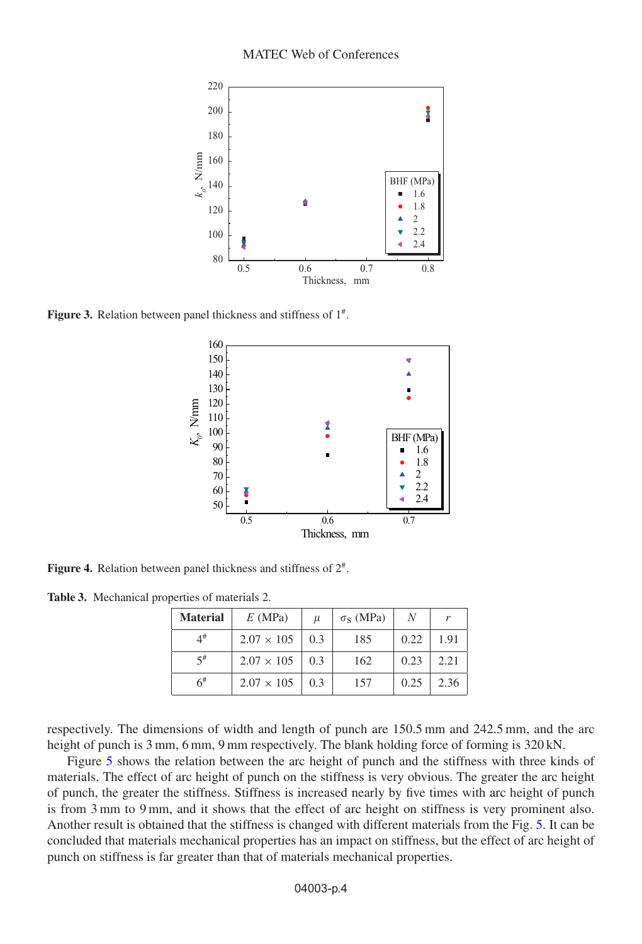<span id="page-3-0"></span>

<span id="page-3-1"></span>**Figure 3.** Relation between panel thickness and stiffness of  $1^{\#}$ .



**Figure 4.** Relation between panel thickness and stiffness of 2#.

**Table 3.** Mechanical properties of materials 2.

| <b>Material</b> | $E$ (MPa)         | $\mu$ | $\sigma$ <sub>S</sub> (MPa) |      | r    |
|-----------------|-------------------|-------|-----------------------------|------|------|
| $4^{\#}$        | $2.07 \times 105$ | 0.3   | 185                         | 0.22 | 1.91 |
| $\leq$ #        | $2.07 \times 105$ | 0.3   | 162                         | 0.23 | 2.21 |
| $6^{\#}$        | $2.07 \times 105$ | 0.3   | 157                         | 0.25 | 2.36 |

respectively. The dimensions of width and length of punch are 150.5 mm and 242.5 mm, and the arc height of punch is 3 mm, 6 mm, 9 mm respectively. The blank holding force of forming is 320 kN.

Figure [5](#page-4-0) shows the relation between the arc height of punch and the stiffness with three kinds of materials. The effect of arc height of punch on the stiffness is very obvious. The greater the arc height of punch, the greater the stiffness. Stiffness is increased nearly by five times with arc height of punch is from 3 mm to 9 mm, and it shows that the effect of arc height on stiffness is very prominent also. Another result is obtained that the stiffness is changed with different materials from the Fig. [5.](#page-4-0) It can be concluded that materials mechanical properties has an impact on stiffness, but the effect of arc height of punch on stiffness is far greater than that of materials mechanical properties.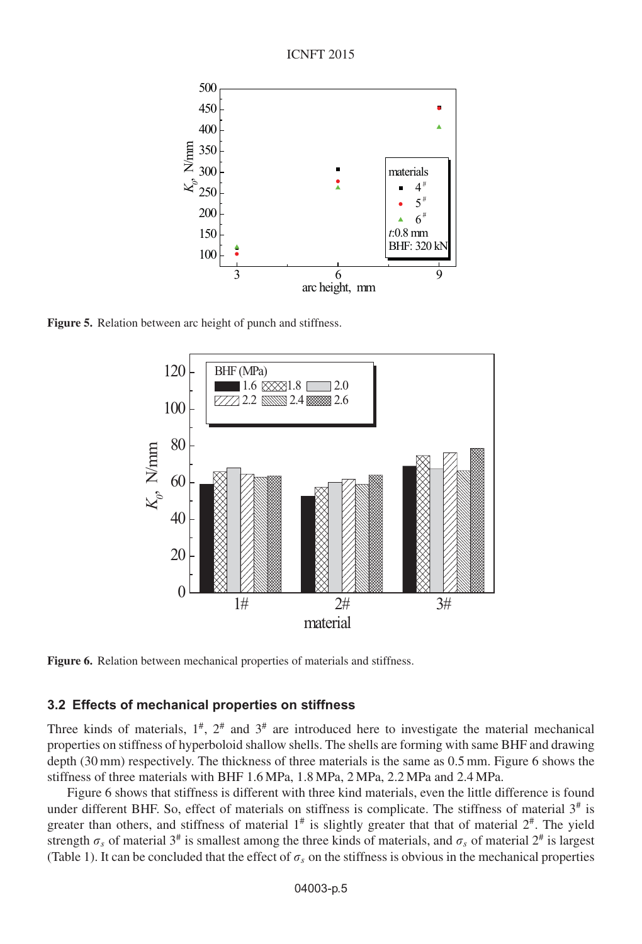

<span id="page-4-0"></span>

**Figure 5.** Relation between arc height of punch and stiffness.



**Figure 6.** Relation between mechanical properties of materials and stiffness.

#### **3.2 Effects of mechanical properties on stiffness**

Three kinds of materials,  $1^{\#}$ ,  $2^{\#}$  and  $3^{\#}$  are introduced here to investigate the material mechanical properties on stiffness of hyperboloid shallow shells. The shells are forming with same BHF and drawing depth (30 mm) respectively. The thickness of three materials is the same as 0.5 mm. Figure 6 shows the stiffness of three materials with BHF 1.6 MPa, 1.8 MPa, 2 MPa, 2.2 MPa and 2.4 MPa.

Figure 6 shows that stiffness is different with three kind materials, even the little difference is found under different BHF. So, effect of materials on stiffness is complicate. The stiffness of material  $3<sup>#</sup>$  is greater than others, and stiffness of material  $1^{\#}$  is slightly greater that that of material  $2^{\#}$ . The yield strength  $\sigma_s$  of material 3<sup>#</sup> is smallest among the three kinds of materials, and  $\sigma_s$  of material 2<sup>#</sup> is largest (Table 1). It can be concluded that the effect of  $\sigma_s$  on the stiffness is obvious in the mechanical properties